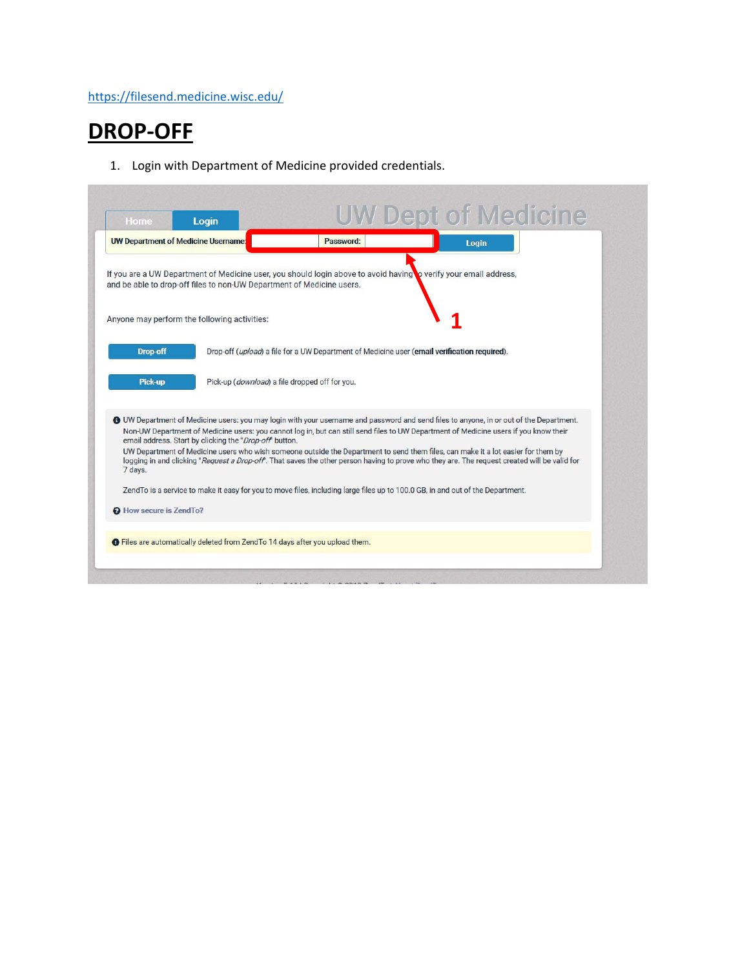### https://filesend.medicine.wisc.edu/

## **DROP‐OFF**

1. Login with Department of Medicine provided credentials.

|                       | <b>UW Department of Medicine Username:</b>                            | Password:                                                                                                                                                                                                                                                                                                                                                                                                                                                                                                                                                                    | Login |  |
|-----------------------|-----------------------------------------------------------------------|------------------------------------------------------------------------------------------------------------------------------------------------------------------------------------------------------------------------------------------------------------------------------------------------------------------------------------------------------------------------------------------------------------------------------------------------------------------------------------------------------------------------------------------------------------------------------|-------|--|
|                       | and be able to drop-off files to non-UW Department of Medicine users. | If you are a UW Department of Medicine user, you should login above to avoid having to verify your email address,                                                                                                                                                                                                                                                                                                                                                                                                                                                            |       |  |
|                       | Anyone may perform the following activities:                          |                                                                                                                                                                                                                                                                                                                                                                                                                                                                                                                                                                              |       |  |
| Drop-off              |                                                                       | Drop-off (upload) a file for a UW Department of Medicine user (email verification required).                                                                                                                                                                                                                                                                                                                                                                                                                                                                                 |       |  |
| Pick-up               |                                                                       | Pick-up (download) a file dropped off for you.                                                                                                                                                                                                                                                                                                                                                                                                                                                                                                                               |       |  |
| 7 days.               | email address. Start by clicking the "Drop-off button.                | <b>O</b> UW Department of Medicine users: you may login with your username and password and send files to anyone, in or out of the Department.<br>Non-UW Department of Medicine users: you cannot log in, but can still send files to UW Department of Medicine users if you know their<br>UW Department of Medicine users who wish someone outside the Department to send them files, can make it a lot easier for them by<br>logging in and clicking "Request a Drop-off". That saves the other person having to prove who they are. The request created will be valid for |       |  |
|                       |                                                                       | ZendTo is a service to make it easy for you to move files, including large files up to 100.0 GB, in and out of the Department.                                                                                                                                                                                                                                                                                                                                                                                                                                               |       |  |
| How secure is ZendTo? |                                                                       |                                                                                                                                                                                                                                                                                                                                                                                                                                                                                                                                                                              |       |  |
|                       |                                                                       |                                                                                                                                                                                                                                                                                                                                                                                                                                                                                                                                                                              |       |  |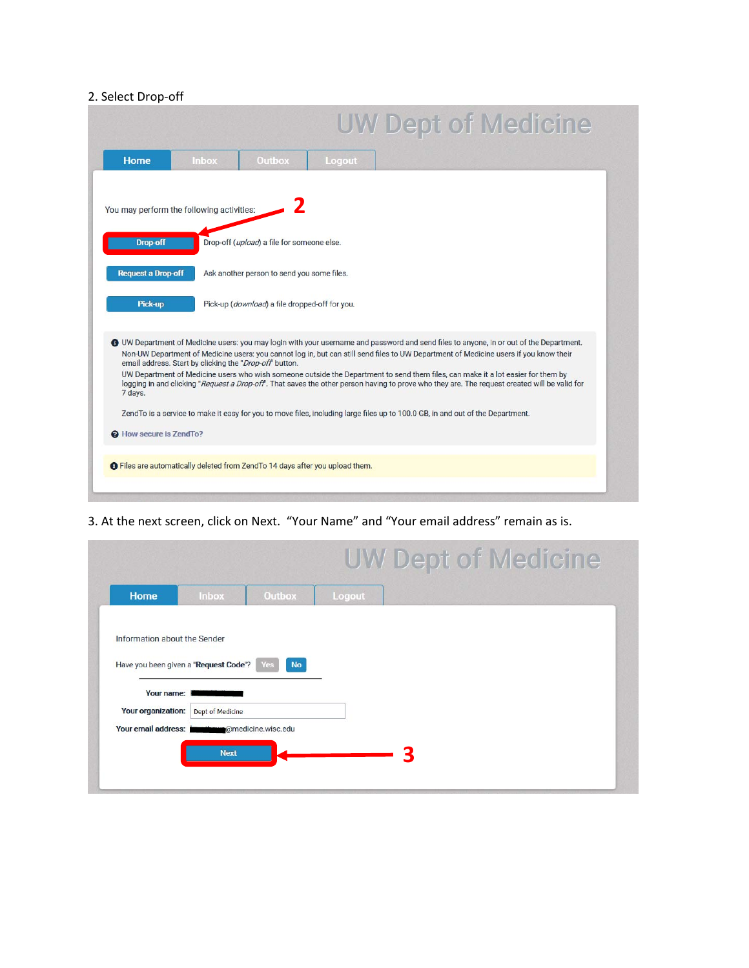### 2. Select Drop‐off

|                           | <b>Inbox</b>                              | Outbox                                                 | Logout |                                                                                                                                                                                                                                                                                         |
|---------------------------|-------------------------------------------|--------------------------------------------------------|--------|-----------------------------------------------------------------------------------------------------------------------------------------------------------------------------------------------------------------------------------------------------------------------------------------|
|                           |                                           |                                                        |        |                                                                                                                                                                                                                                                                                         |
|                           | You may perform the following activities: |                                                        |        |                                                                                                                                                                                                                                                                                         |
| Drop-off                  |                                           | Drop-off (upload) a file for someone else.             |        |                                                                                                                                                                                                                                                                                         |
| <b>Request a Drop-off</b> |                                           | Ask another person to send you some files.             |        |                                                                                                                                                                                                                                                                                         |
| Pick-up                   |                                           | Pick-up (download) a file dropped-off for you.         |        |                                                                                                                                                                                                                                                                                         |
|                           |                                           | email address. Start by clicking the "Drop-off button. |        | <b>O</b> UW Department of Medicine users: you may login with your username and password and send files to anyone, in or out of the Department.<br>Non-UW Department of Medicine users: you cannot log in, but can still send files to UW Department of Medicine users if you know their |
| 7 days.                   |                                           |                                                        |        | UW Department of Medicine users who wish someone outside the Department to send them files, can make it a lot easier for them by<br>logging in and clicking "Request a Drop-off. That saves the other person having to prove who they are. The request created will be valid for        |
|                           |                                           |                                                        |        | ZendTo is a service to make it easy for you to move files, including large files up to 100.0 GB, in and out of the Department.                                                                                                                                                          |
|                           |                                           |                                                        |        |                                                                                                                                                                                                                                                                                         |

3. At the next screen, click on Next. "Your Name" and "Your email address" remain as is.

| Home                                    | Inbox                                 | Outbox                      | Logout |  |
|-----------------------------------------|---------------------------------------|-----------------------------|--------|--|
| Information about the Sender            |                                       |                             |        |  |
|                                         | Have you been given a "Request Code"? | $\mathsf{No}$<br><b>Yes</b> |        |  |
|                                         |                                       |                             |        |  |
|                                         |                                       |                             |        |  |
| Your name:<br><b>Your organization:</b> | Dept of Medicine                      |                             |        |  |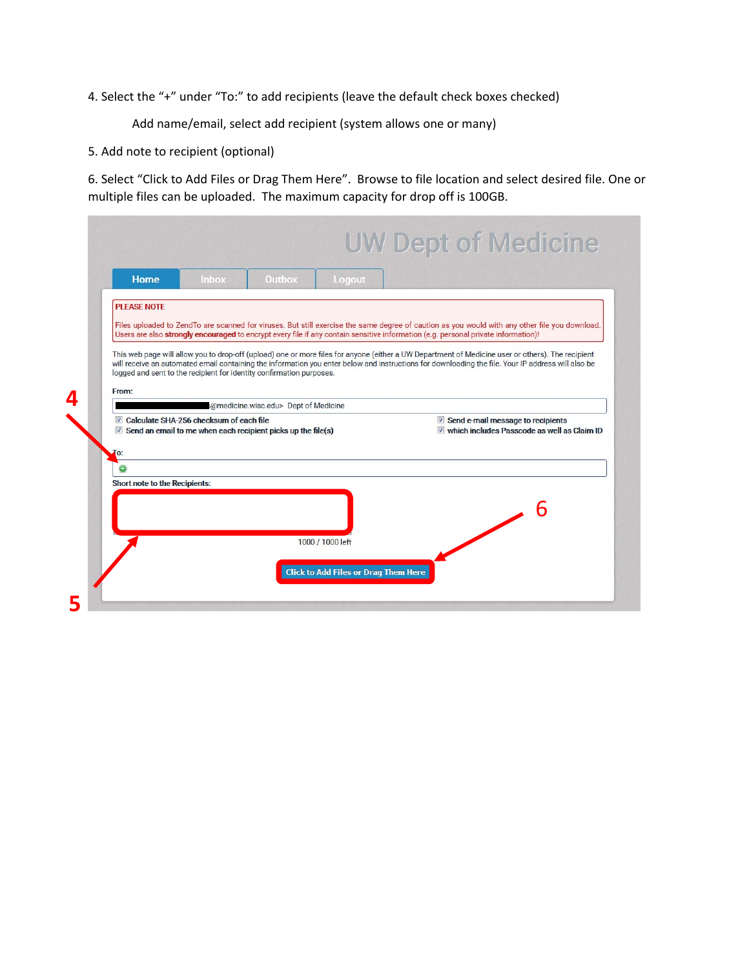4. Select the "+" under "To:" to add recipients (leave the default check boxes checked)

Add name/email, select add recipient (system allows one or many)

5. Add note to recipient (optional)

6. Select "Click to Add Files or Drag Them Here". Browse to file location and select desired file. One or multiple files can be uploaded. The maximum capacity for drop off is 100GB.

| <b>PLEASE NOTE</b>                                                           | Files uploaded to ZendTo are scanned for viruses. But still exercise the same degree of caution as you would with any other file you download.<br>Users are also strongly encouraged to encrypt every file if any contain sensitive information (e.g. personal private information)!<br>This web page will allow you to drop-off (upload) one or more files for anyone (either a UW Department of Medicine user or others). The recipient |
|------------------------------------------------------------------------------|-------------------------------------------------------------------------------------------------------------------------------------------------------------------------------------------------------------------------------------------------------------------------------------------------------------------------------------------------------------------------------------------------------------------------------------------|
|                                                                              |                                                                                                                                                                                                                                                                                                                                                                                                                                           |
|                                                                              |                                                                                                                                                                                                                                                                                                                                                                                                                                           |
|                                                                              |                                                                                                                                                                                                                                                                                                                                                                                                                                           |
|                                                                              |                                                                                                                                                                                                                                                                                                                                                                                                                                           |
| logged and sent to the recipient for identity confirmation purposes.         | will receive an automated email containing the information you enter below and instructions for downloading the file. Your IP address will also be                                                                                                                                                                                                                                                                                        |
| From:                                                                        |                                                                                                                                                                                                                                                                                                                                                                                                                                           |
|                                                                              | @medicine.wisc.edu> Dept of Medicine                                                                                                                                                                                                                                                                                                                                                                                                      |
| ○ Calculate SHA-256 checksum of each file                                    | <b>√</b> Send e-mail message to recipients                                                                                                                                                                                                                                                                                                                                                                                                |
| $\triangledown$ Send an email to me when each recipient picks up the file(s) | which includes Passcode as well as Claim ID                                                                                                                                                                                                                                                                                                                                                                                               |
| O.                                                                           |                                                                                                                                                                                                                                                                                                                                                                                                                                           |
|                                                                              |                                                                                                                                                                                                                                                                                                                                                                                                                                           |
| <b>Short note to the Recipients:</b>                                         |                                                                                                                                                                                                                                                                                                                                                                                                                                           |
|                                                                              |                                                                                                                                                                                                                                                                                                                                                                                                                                           |
|                                                                              | 6                                                                                                                                                                                                                                                                                                                                                                                                                                         |
|                                                                              |                                                                                                                                                                                                                                                                                                                                                                                                                                           |
|                                                                              |                                                                                                                                                                                                                                                                                                                                                                                                                                           |
|                                                                              | 1000 / 1000 left                                                                                                                                                                                                                                                                                                                                                                                                                          |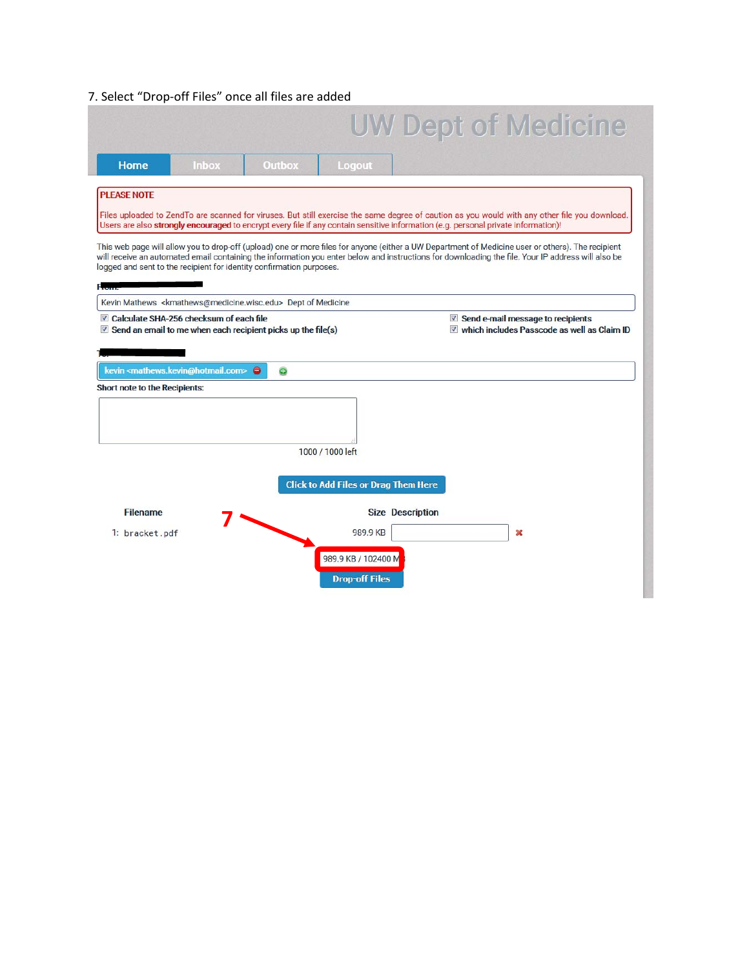## 7. Select "Drop‐off Files" once all files are added

|                                      |                                                               |                                                                                          |                                              |                         | UW Dept of Medicine                                                                                                                                                                                                                                                                                     |  |
|--------------------------------------|---------------------------------------------------------------|------------------------------------------------------------------------------------------|----------------------------------------------|-------------------------|---------------------------------------------------------------------------------------------------------------------------------------------------------------------------------------------------------------------------------------------------------------------------------------------------------|--|
| <b>Home</b>                          | <b>Inbox</b>                                                  | <b>Outbox</b>                                                                            | Logout                                       |                         |                                                                                                                                                                                                                                                                                                         |  |
| <b>PLEASE NOTE</b>                   |                                                               |                                                                                          |                                              |                         | Files uploaded to ZendTo are scanned for viruses. But still exercise the same degree of caution as you would with any other file you download.<br>Users are also <b>strongly encouraged</b> to encrypt every file if any contain sensitive information (e.g. personal private information)!             |  |
| From.                                |                                                               | logged and sent to the recipient for identity confirmation purposes.                     |                                              |                         | This web page will allow you to drop-off (upload) one or more files for anyone (either a UW Department of Medicine user or others). The recipient<br>will receive an automated email containing the information you enter below and instructions for downloading the file. Your IP address will also be |  |
|                                      |                                                               | Kevin Mathews <kmathews@medicine.wisc.edu> Dept of Medicine</kmathews@medicine.wisc.edu> |                                              |                         |                                                                                                                                                                                                                                                                                                         |  |
|                                      | kevin <mathews.kevin@hotmail.com></mathews.kevin@hotmail.com> | Send an email to me when each recipient picks up the file(s)<br>$\bullet$                |                                              |                         | which includes Passcode as well as Claim ID                                                                                                                                                                                                                                                             |  |
| <b>Short note to the Recipients:</b> |                                                               |                                                                                          |                                              |                         |                                                                                                                                                                                                                                                                                                         |  |
|                                      |                                                               |                                                                                          |                                              |                         |                                                                                                                                                                                                                                                                                                         |  |
|                                      |                                                               |                                                                                          |                                              |                         |                                                                                                                                                                                                                                                                                                         |  |
|                                      |                                                               |                                                                                          | 1000 / 1000 left                             |                         |                                                                                                                                                                                                                                                                                                         |  |
|                                      |                                                               |                                                                                          | <b>Click to Add Files or Drag Them Here</b>  |                         |                                                                                                                                                                                                                                                                                                         |  |
| <b>Filename</b>                      |                                                               |                                                                                          |                                              | <b>Size Description</b> |                                                                                                                                                                                                                                                                                                         |  |
| 1: bracket.pdf                       |                                                               |                                                                                          | 989.9 KB                                     |                         | $\mathbf{x}$                                                                                                                                                                                                                                                                                            |  |
|                                      |                                                               |                                                                                          | 989.9 KB / 102400 M<br><b>Drop-off Files</b> |                         |                                                                                                                                                                                                                                                                                                         |  |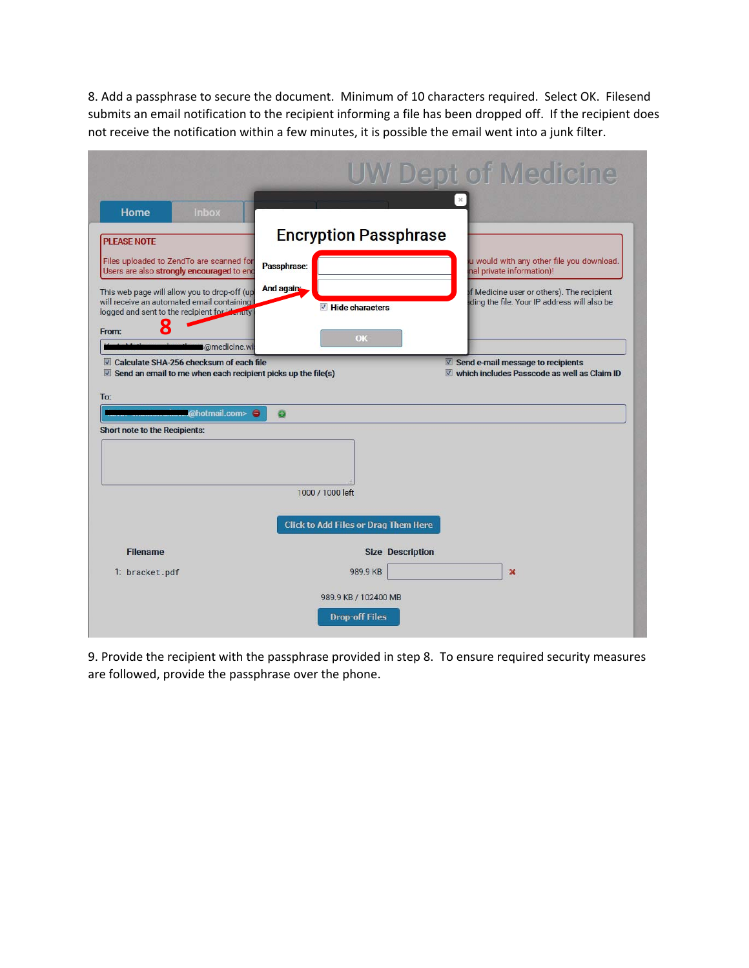8. Add a passphrase to secure the document. Minimum of 10 characters required. Select OK. Filesend submits an email notification to the recipient informing a file has been dropped off. If the recipient does not receive the notification within a few minutes, it is possible the email went into a junk filter.

|                                                                                                                                                                                                                                                                          |                                                                                                   | UW Dept of Medicine                                                                                                                                                 |  |
|--------------------------------------------------------------------------------------------------------------------------------------------------------------------------------------------------------------------------------------------------------------------------|---------------------------------------------------------------------------------------------------|---------------------------------------------------------------------------------------------------------------------------------------------------------------------|--|
| <b>Home</b>                                                                                                                                                                                                                                                              | <b>Inbox</b>                                                                                      | $\mathcal{H}$                                                                                                                                                       |  |
| <b>PLEASE NOTE</b><br>Files uploaded to ZendTo are scanned for<br>Users are also strongly encouraged to end<br>This web page will allow you to drop-off (up<br>will receive an automated email containing<br>logged and sent to the recipient for identity<br>8<br>From: | <b>Encryption Passphrase</b><br>Passphrase:<br>And again<br>$\triangledown$ Hide characters<br>OK | u would with any other file you download.<br>nal private information)!<br>of Medicine user or others). The recipient<br>ding the file. Your IP address will also be |  |
| ○ Calculate SHA-256 checksum of each file<br>To:<br><b>Short note to the Recipients:</b>                                                                                                                                                                                 | Send an email to me when each recipient picks up the file(s)<br>@hotmail.com> e<br>0              | $\vee$ Send e-mail message to recipients<br>which includes Passcode as well as Claim ID                                                                             |  |
|                                                                                                                                                                                                                                                                          |                                                                                                   |                                                                                                                                                                     |  |
|                                                                                                                                                                                                                                                                          | 1000 / 1000 left                                                                                  |                                                                                                                                                                     |  |
| <b>Filename</b>                                                                                                                                                                                                                                                          | <b>Click to Add Files or Drag Them Here</b>                                                       | <b>Size Description</b>                                                                                                                                             |  |
| 1: bracket.pdf                                                                                                                                                                                                                                                           | 989.9 KB                                                                                          | $\mathbf x$                                                                                                                                                         |  |

9. Provide the recipient with the passphrase provided in step 8. To ensure required security measures are followed, provide the passphrase over the phone.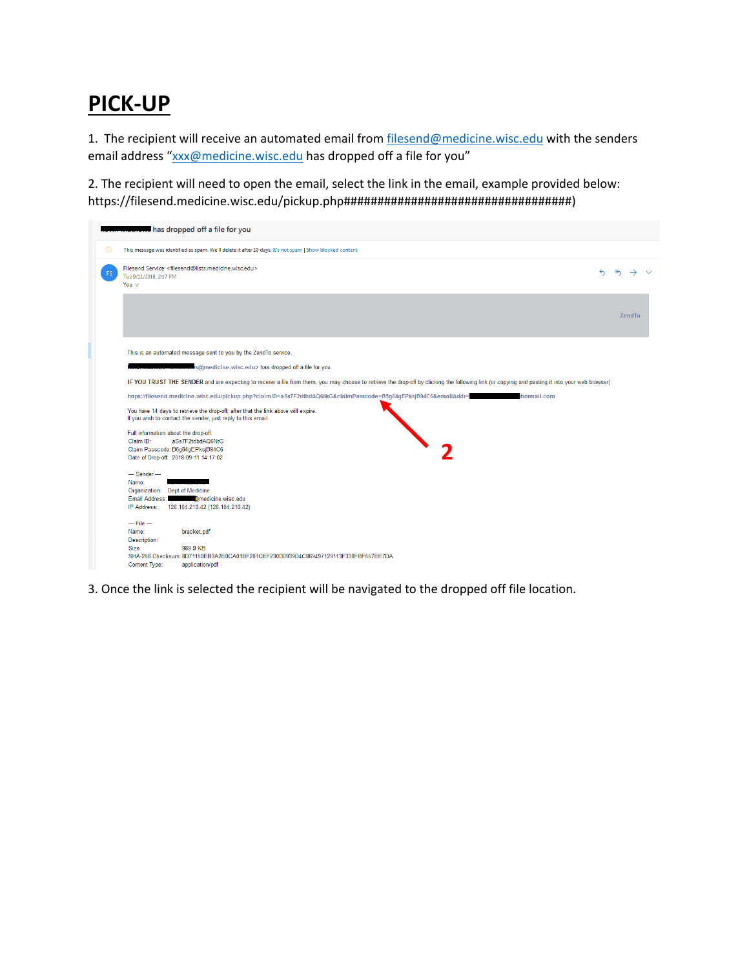# **PICK‐UP**

1. The recipient will receive an automated email from filesend@medicine.wisc.edu with the senders email address "xxx@medicine.wisc.edu has dropped off a file for you"

2. The recipient will need to open the email, select the link in the email, example provided below: https://filesend.medicine.wisc.edu/pickup.php##################################)

| $\bigcirc$ | This message was identified as spam. We'll delete it after 10 days. It's not spam   Show blocked content                                                                                                                                               |
|------------|--------------------------------------------------------------------------------------------------------------------------------------------------------------------------------------------------------------------------------------------------------|
|            | Filesend Service <filesend@lists.medicine.wisc.edu><br/><math>\leftrightarrow</math><br/><math>\leftarrow</math> <math>\rightarrow</math> <math>\vee</math><br/>Tue 9/11/2018, 2:17 PM<br/>You <math>\approx</math></filesend@lists.medicine.wisc.edu> |
|            | ZendTo                                                                                                                                                                                                                                                 |
|            | This is an automated message sent to you by the ZendTo service.                                                                                                                                                                                        |
|            | s@medicine.wisc.edu> has dropped off a file for you.                                                                                                                                                                                                   |
|            | IF YOU TRUST THE SENDER and are expecting to receive a file from them, you may choose to retrieve the drop-off by clicking the following link (or copying and pasting it into your web browser):                                                       |
|            | https://filesend.medicine.wisc.edu/pickup.php?cialmiD=aSs7F2tdbdAQ6NtG&cialmPasscode=B5g84gEPksjB94C6&emailAddr=<br>hotmall.com                                                                                                                        |
|            | You have 14 days to retrieve the drop-off; after that the link above will expire.<br>If you wish to contact the sender, just reply to this email.                                                                                                      |
|            | Full information about the drop-off:                                                                                                                                                                                                                   |
|            | Claim ID:<br>aSs7F2tdbdAQ6NtG                                                                                                                                                                                                                          |
|            | Claim Passcode: B5q84qEPksjB94C6<br>Date of Drop-off: 2018-09-11 14:17:02                                                                                                                                                                              |
|            |                                                                                                                                                                                                                                                        |
|            | $-$ Sender $-$                                                                                                                                                                                                                                         |
|            | Name:                                                                                                                                                                                                                                                  |
|            | Organization: Dept of Medicine<br>Email Address: 20 medicine.wisc.edu                                                                                                                                                                                  |
|            | 128.104.210.42 (128.104.210.42)<br>IP Address:                                                                                                                                                                                                         |
|            | $-$ File $-$                                                                                                                                                                                                                                           |
|            | Name:<br>bracket.pdf                                                                                                                                                                                                                                   |
|            | Description:                                                                                                                                                                                                                                           |
|            | 989.9 KB<br>Size:                                                                                                                                                                                                                                      |
|            | SHA-256 Checksum: 8D71150EB3A2E0CA01BF281CEF230D0939D4C869497129113F338FBF557EE7DA                                                                                                                                                                     |
|            | <b>Content Type:</b><br>application/pdf                                                                                                                                                                                                                |

3. Once the link is selected the recipient will be navigated to the dropped off file location.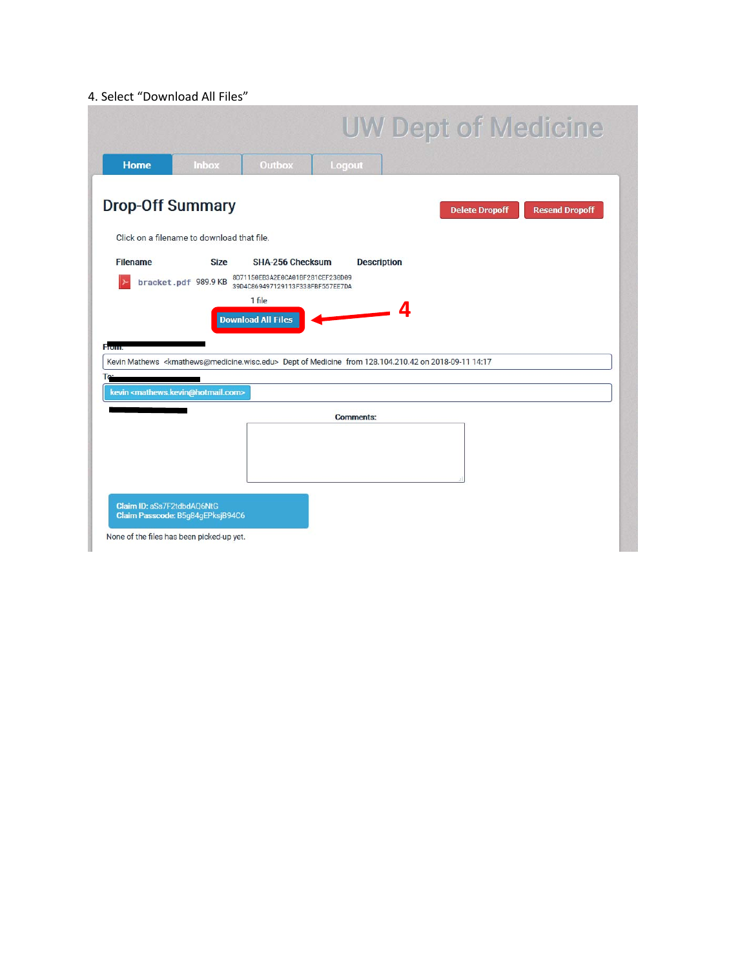#### 4. Select "Download All Files"

|                                                                |                     |                                                                      | UW Dept of Medicine                                                                                                              |  |
|----------------------------------------------------------------|---------------------|----------------------------------------------------------------------|----------------------------------------------------------------------------------------------------------------------------------|--|
| Home                                                           | <b>Inbox</b>        | Outbox                                                               | Logout                                                                                                                           |  |
| <b>Drop-Off Summary</b>                                        |                     |                                                                      | <b>Resend Dropoff</b><br><b>Delete Dropoff</b>                                                                                   |  |
| Click on a filename to download that file.                     |                     |                                                                      |                                                                                                                                  |  |
| <b>Filename</b>                                                | <b>Size</b>         | SHA-256 Checksum                                                     | <b>Description</b>                                                                                                               |  |
|                                                                | bracket.pdf 989.9KB | 8D71150EB3A2E0CA01BF281CEF230D09<br>39D4C869497129113F338FBF557EE7DA |                                                                                                                                  |  |
|                                                                |                     | 1 file                                                               |                                                                                                                                  |  |
|                                                                |                     | <b>Download All Files</b>                                            | $\mathbf{\Lambda}$                                                                                                               |  |
|                                                                |                     |                                                                      |                                                                                                                                  |  |
|                                                                |                     |                                                                      |                                                                                                                                  |  |
| From.                                                          |                     |                                                                      |                                                                                                                                  |  |
|                                                                |                     |                                                                      | Kevin Mathews <kmathews@medicine.wisc.edu> Dept of Medicine from 128.104.210.42 on 2018-09-11 14:17</kmathews@medicine.wisc.edu> |  |
|                                                                |                     |                                                                      |                                                                                                                                  |  |
|                                                                |                     |                                                                      |                                                                                                                                  |  |
| kevin <mathews.kevin@hotmail.com></mathews.kevin@hotmail.com>  |                     |                                                                      | <b>Comments:</b>                                                                                                                 |  |
|                                                                |                     |                                                                      |                                                                                                                                  |  |
|                                                                |                     |                                                                      |                                                                                                                                  |  |
| Claim ID: aSs7F2tdbdAQ6NtG<br>Claim Passcode: B5g84gEPksjB94C6 |                     |                                                                      |                                                                                                                                  |  |